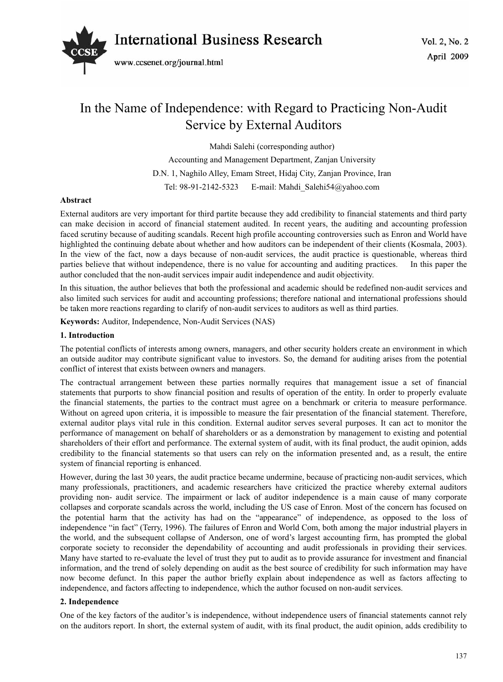

# In the Name of Independence: with Regard to Practicing Non-Audit Service by External Auditors

Mahdi Salehi (corresponding author)

Accounting and Management Department, Zanjan University D.N. 1, Naghilo Alley, Emam Street, Hidaj City, Zanjan Province, Iran Tel: 98-91-2142-5323 E-mail: Mahdi\_Salehi54@yahoo.com

## **Abstract**

External auditors are very important for third partite because they add credibility to financial statements and third party can make decision in accord of financial statement audited. In recent years, the auditing and accounting profession faced scrutiny because of auditing scandals. Recent high profile accounting controversies such as Enron and World have highlighted the continuing debate about whether and how auditors can be independent of their clients (Kosmala, 2003). In the view of the fact, now a days because of non-audit services, the audit practice is questionable, whereas third parties believe that without independence, there is no value for accounting and auditing practices. In this paper the author concluded that the non-audit services impair audit independence and audit objectivity.

In this situation, the author believes that both the professional and academic should be redefined non-audit services and also limited such services for audit and accounting professions; therefore national and international professions should be taken more reactions regarding to clarify of non-audit services to auditors as well as third parties.

**Keywords:** Auditor, Independence, Non-Audit Services (NAS)

#### **1. Introduction**

The potential conflicts of interests among owners, managers, and other security holders create an environment in which an outside auditor may contribute significant value to investors. So, the demand for auditing arises from the potential conflict of interest that exists between owners and managers.

The contractual arrangement between these parties normally requires that management issue a set of financial statements that purports to show financial position and results of operation of the entity. In order to properly evaluate the financial statements, the parties to the contract must agree on a benchmark or criteria to measure performance. Without on agreed upon criteria, it is impossible to measure the fair presentation of the financial statement. Therefore, external auditor plays vital rule in this condition. External auditor serves several purposes. It can act to monitor the performance of management on behalf of shareholders or as a demonstration by management to existing and potential shareholders of their effort and performance. The external system of audit, with its final product, the audit opinion, adds credibility to the financial statements so that users can rely on the information presented and, as a result, the entire system of financial reporting is enhanced.

However, during the last 30 years, the audit practice became undermine, because of practicing non-audit services, which many professionals, practitioners, and academic researchers have criticized the practice whereby external auditors providing non- audit service. The impairment or lack of auditor independence is a main cause of many corporate collapses and corporate scandals across the world, including the US case of Enron. Most of the concern has focused on the potential harm that the activity has had on the "appearance" of independence, as opposed to the loss of independence "in fact" (Terry, 1996). The failures of Enron and World Com, both among the major industrial players in the world, and the subsequent collapse of Anderson, one of word's largest accounting firm, has prompted the global corporate society to reconsider the dependability of accounting and audit professionals in providing their services. Many have started to re-evaluate the level of trust they put to audit as to provide assurance for investment and financial information, and the trend of solely depending on audit as the best source of credibility for such information may have now become defunct. In this paper the author briefly explain about independence as well as factors affecting to independence, and factors affecting to independence, which the author focused on non-audit services.

### **2. Independence**

One of the key factors of the auditor's is independence, without independence users of financial statements cannot rely on the auditors report. In short, the external system of audit, with its final product, the audit opinion, adds credibility to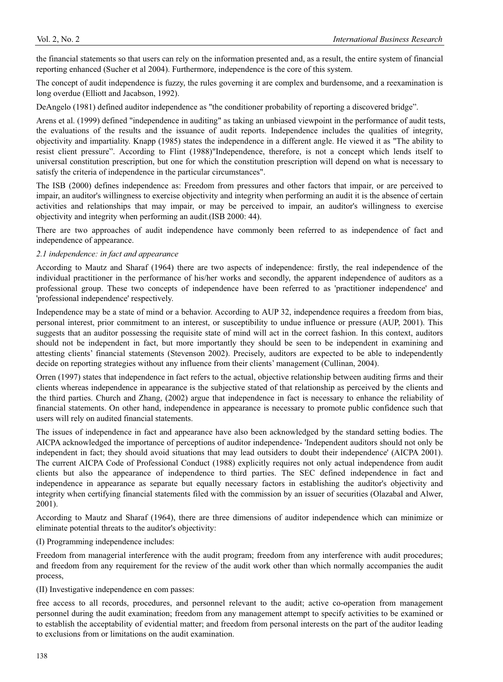the financial statements so that users can rely on the information presented and, as a result, the entire system of financial reporting enhanced (Sucher et al 2004). Furthermore, independence is the core of this system.

The concept of audit independence is fuzzy, the rules governing it are complex and burdensome, and a reexamination is long overdue (Elliott and Jacabson, 1992).

DeAngelo (1981) defined auditor independence as "the conditioner probability of reporting a discovered bridge".

Arens et al. (1999) defined "independence in auditing" as taking an unbiased viewpoint in the performance of audit tests, the evaluations of the results and the issuance of audit reports. Independence includes the qualities of integrity, objectivity and impartiality. Knapp (1985) states the independence in a different angle. He viewed it as "The ability to resist client pressure". According to Flint (1988)"Independence, therefore, is not a concept which lends itself to universal constitution prescription, but one for which the constitution prescription will depend on what is necessary to satisfy the criteria of independence in the particular circumstances".

The ISB (2000) defines independence as: Freedom from pressures and other factors that impair, or are perceived to impair, an auditor's willingness to exercise objectivity and integrity when performing an audit it is the absence of certain activities and relationships that may impair, or may be perceived to impair, an auditor's willingness to exercise objectivity and integrity when performing an audit.(ISB 2000: 44).

There are two approaches of audit independence have commonly been referred to as independence of fact and independence of appearance.

#### *2.1 independence: in fact and appearance*

According to Mautz and Sharaf (1964) there are two aspects of independence: firstly, the real independence of the individual practitioner in the performance of his/her works and secondly, the apparent independence of auditors as a professional group. These two concepts of independence have been referred to as 'practitioner independence' and 'professional independence' respectively.

Independence may be a state of mind or a behavior. According to AUP 32, independence requires a freedom from bias, personal interest, prior commitment to an interest, or susceptibility to undue influence or pressure (AUP, 2001). This suggests that an auditor possessing the requisite state of mind will act in the correct fashion. In this context, auditors should not be independent in fact, but more importantly they should be seen to be independent in examining and attesting clients' financial statements (Stevenson 2002). Precisely, auditors are expected to be able to independently decide on reporting strategies without any influence from their clients' management (Cullinan, 2004).

Orren (1997) states that independence in fact refers to the actual, objective relationship between auditing firms and their clients whereas independence in appearance is the subjective stated of that relationship as perceived by the clients and the third parties. Church and Zhang, (2002) argue that independence in fact is necessary to enhance the reliability of financial statements. On other hand, independence in appearance is necessary to promote public confidence such that users will rely on audited financial statements.

The issues of independence in fact and appearance have also been acknowledged by the standard setting bodies. The AICPA acknowledged the importance of perceptions of auditor independence- 'Independent auditors should not only be independent in fact; they should avoid situations that may lead outsiders to doubt their independence' (AICPA 2001). The current AICPA Code of Professional Conduct (1988) explicitly requires not only actual independence from audit clients but also the appearance of independence to third parties. The SEC defined independence in fact and independence in appearance as separate but equally necessary factors in establishing the auditor's objectivity and integrity when certifying financial statements filed with the commission by an issuer of securities (Olazabal and Alwer, 2001).

According to Mautz and Sharaf (1964), there are three dimensions of auditor independence which can minimize or eliminate potential threats to the auditor's objectivity:

(I) Programming independence includes:

Freedom from managerial interference with the audit program; freedom from any interference with audit procedures; and freedom from any requirement for the review of the audit work other than which normally accompanies the audit process,

(II) Investigative independence en com passes:

free access to all records, procedures, and personnel relevant to the audit; active co-operation from management personnel during the audit examination; freedom from any management attempt to specify activities to be examined or to establish the acceptability of evidential matter; and freedom from personal interests on the part of the auditor leading to exclusions from or limitations on the audit examination.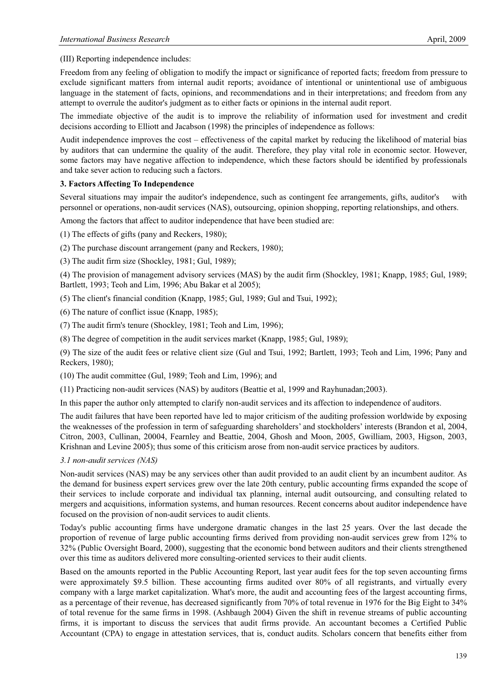(III) Reporting independence includes:

Freedom from any feeling of obligation to modify the impact or significance of reported facts; freedom from pressure to exclude significant matters from internal audit reports; avoidance of intentional or unintentional use of ambiguous language in the statement of facts, opinions, and recommendations and in their interpretations; and freedom from any attempt to overrule the auditor's judgment as to either facts or opinions in the internal audit report.

The immediate objective of the audit is to improve the reliability of information used for investment and credit decisions according to Elliott and Jacabson (1998) the principles of independence as follows:

Audit independence improves the cost – effectiveness of the capital market by reducing the likelihood of material bias by auditors that can undermine the quality of the audit. Therefore, they play vital role in economic sector. However, some factors may have negative affection to independence, which these factors should be identified by professionals and take sever action to reducing such a factors.

# **3. Factors Affecting To Independence**

Several situations may impair the auditor's independence, such as contingent fee arrangements, gifts, auditor's with personnel or operations, non-audit services (NAS), outsourcing, opinion shopping, reporting relationships, and others.

Among the factors that affect to auditor independence that have been studied are:

(1) The effects of gifts (pany and Reckers, 1980);

(2) The purchase discount arrangement (pany and Reckers, 1980);

(3) The audit firm size (Shockley, 1981; Gul, 1989);

(4) The provision of management advisory services (MAS) by the audit firm (Shockley, 1981; Knapp, 1985; Gul, 1989; Bartlett, 1993; Teoh and Lim, 1996; Abu Bakar et al 2005);

(5) The client's financial condition (Knapp, 1985; Gul, 1989; Gul and Tsui, 1992);

(6) The nature of conflict issue (Knapp, 1985);

(7) The audit firm's tenure (Shockley, 1981; Teoh and Lim, 1996);

(8) The degree of competition in the audit services market (Knapp, 1985; Gul, 1989);

(9) The size of the audit fees or relative client size (Gul and Tsui, 1992; Bartlett, 1993; Teoh and Lim, 1996; Pany and Reckers, 1980);

(10) The audit committee (Gul, 1989; Teoh and Lim, 1996); and

(11) Practicing non-audit services (NAS) by auditors (Beattie et al, 1999 and Rayhunadan;2003).

In this paper the author only attempted to clarify non-audit services and its affection to independence of auditors.

The audit failures that have been reported have led to major criticism of the auditing profession worldwide by exposing the weaknesses of the profession in term of safeguarding shareholders' and stockholders' interests (Brandon et al, 2004, Citron, 2003, Cullinan, 20004, Fearnley and Beattie, 2004, Ghosh and Moon, 2005, Gwilliam, 2003, Higson, 2003, Krishnan and Levine 2005); thus some of this criticism arose from non-audit service practices by auditors.

# *3.1 non-audit services (NAS)*

Non-audit services (NAS) may be any services other than audit provided to an audit client by an incumbent auditor. As the demand for business expert services grew over the late 20th century, public accounting firms expanded the scope of their services to include corporate and individual tax planning, internal audit outsourcing, and consulting related to mergers and acquisitions, information systems, and human resources. Recent concerns about auditor independence have focused on the provision of non-audit services to audit clients.

Today's public accounting firms have undergone dramatic changes in the last 25 years. Over the last decade the proportion of revenue of large public accounting firms derived from providing non-audit services grew from 12% to 32% (Public Oversight Board, 2000), suggesting that the economic bond between auditors and their clients strengthened over this time as auditors delivered more consulting-oriented services to their audit clients.

Based on the amounts reported in the Public Accounting Report, last year audit fees for the top seven accounting firms were approximately \$9.5 billion. These accounting firms audited over 80% of all registrants, and virtually every company with a large market capitalization. What's more, the audit and accounting fees of the largest accounting firms, as a percentage of their revenue, has decreased significantly from 70% of total revenue in 1976 for the Big Eight to 34% of total revenue for the same firms in 1998. (Ashbaugh 2004) Given the shift in revenue streams of public accounting firms, it is important to discuss the services that audit firms provide. An accountant becomes a Certified Public Accountant (CPA) to engage in attestation services, that is, conduct audits. Scholars concern that benefits either from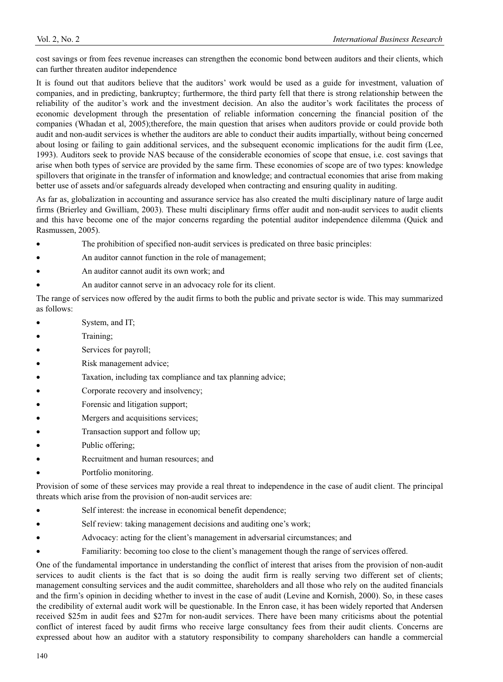cost savings or from fees revenue increases can strengthen the economic bond between auditors and their clients, which can further threaten auditor independence

It is found out that auditors believe that the auditors' work would be used as a guide for investment, valuation of companies, and in predicting, bankruptcy; furthermore, the third party fell that there is strong relationship between the reliability of the auditor's work and the investment decision. An also the auditor's work facilitates the process of economic development through the presentation of reliable information concerning the financial position of the companies (Whadan et al, 2005);therefore, the main question that arises when auditors provide or could provide both audit and non-audit services is whether the auditors are able to conduct their audits impartially, without being concerned about losing or failing to gain additional services, and the subsequent economic implications for the audit firm (Lee, 1993). Auditors seek to provide NAS because of the considerable economies of scope that ensue, i.e. cost savings that arise when both types of service are provided by the same firm. These economies of scope are of two types: knowledge spillovers that originate in the transfer of information and knowledge; and contractual economies that arise from making better use of assets and/or safeguards already developed when contracting and ensuring quality in auditing.

As far as, globalization in accounting and assurance service has also created the multi disciplinary nature of large audit firms (Brierley and Gwilliam, 2003). These multi disciplinary firms offer audit and non-audit services to audit clients and this have become one of the major concerns regarding the potential auditor independence dilemma (Quick and Rasmussen, 2005).

- The prohibition of specified non-audit services is predicated on three basic principles:
- An auditor cannot function in the role of management;
- An auditor cannot audit its own work; and
- An auditor cannot serve in an advocacy role for its client.

The range of services now offered by the audit firms to both the public and private sector is wide. This may summarized as follows:

- System, and IT;
- Training;
- Services for payroll;
- Risk management advice;
- Taxation, including tax compliance and tax planning advice;
- Corporate recovery and insolvency;
- Forensic and litigation support;
- Mergers and acquisitions services;
- Transaction support and follow up;
- Public offering;
- Recruitment and human resources; and
- Portfolio monitoring.

Provision of some of these services may provide a real threat to independence in the case of audit client. The principal threats which arise from the provision of non-audit services are:

- Self interest: the increase in economical benefit dependence;
- Self review: taking management decisions and auditing one's work;
- Advocacy: acting for the client's management in adversarial circumstances; and
- Familiarity: becoming too close to the client's management though the range of services offered.

One of the fundamental importance in understanding the conflict of interest that arises from the provision of non-audit services to audit clients is the fact that is so doing the audit firm is really serving two different set of clients; management consulting services and the audit committee, shareholders and all those who rely on the audited financials and the firm's opinion in deciding whether to invest in the case of audit (Levine and Kornish, 2000). So, in these cases the credibility of external audit work will be questionable. In the Enron case, it has been widely reported that Andersen received \$25m in audit fees and \$27m for non-audit services. There have been many criticisms about the potential conflict of interest faced by audit firms who receive large consultancy fees from their audit clients. Concerns are expressed about how an auditor with a statutory responsibility to company shareholders can handle a commercial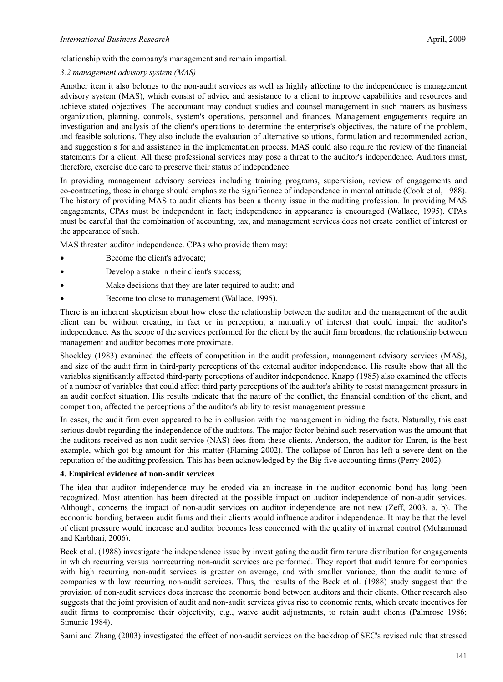relationship with the company's management and remain impartial.

# *3.2 management advisory system (MAS)*

Another item it also belongs to the non-audit services as well as highly affecting to the independence is management advisory system (MAS), which consist of advice and assistance to a client to improve capabilities and resources and achieve stated objectives. The accountant may conduct studies and counsel management in such matters as business organization, planning, controls, system's operations, personnel and finances. Management engagements require an investigation and analysis of the client's operations to determine the enterprise's objectives, the nature of the problem, and feasible solutions. They also include the evaluation of alternative solutions, formulation and recommended action, and suggestion s for and assistance in the implementation process. MAS could also require the review of the financial statements for a client. All these professional services may pose a threat to the auditor's independence. Auditors must, therefore, exercise due care to preserve their status of independence.

In providing management advisory services including training programs, supervision, review of engagements and co-contracting, those in charge should emphasize the significance of independence in mental attitude (Cook et al, 1988). The history of providing MAS to audit clients has been a thorny issue in the auditing profession. In providing MAS engagements, CPAs must be independent in fact; independence in appearance is encouraged (Wallace, 1995). CPAs must be careful that the combination of accounting, tax, and management services does not create conflict of interest or the appearance of such.

MAS threaten auditor independence. CPAs who provide them may:

- Become the client's advocate;
- Develop a stake in their client's success;
- Make decisions that they are later required to audit; and
- Become too close to management (Wallace, 1995).

There is an inherent skepticism about how close the relationship between the auditor and the management of the audit client can be without creating, in fact or in perception, a mutuality of interest that could impair the auditor's independence. As the scope of the services performed for the client by the audit firm broadens, the relationship between management and auditor becomes more proximate.

Shockley (1983) examined the effects of competition in the audit profession, management advisory services (MAS), and size of the audit firm in third-party perceptions of the external auditor independence. His results show that all the variables significantly affected third-party perceptions of auditor independence. Knapp (1985) also examined the effects of a number of variables that could affect third party perceptions of the auditor's ability to resist management pressure in an audit confect situation. His results indicate that the nature of the conflict, the financial condition of the client, and competition, affected the perceptions of the auditor's ability to resist management pressure

In cases, the audit firm even appeared to be in collusion with the management in hiding the facts. Naturally, this cast serious doubt regarding the independence of the auditors. The major factor behind such reservation was the amount that the auditors received as non-audit service (NAS) fees from these clients. Anderson, the auditor for Enron, is the best example, which got big amount for this matter (Flaming 2002). The collapse of Enron has left a severe dent on the reputation of the auditing profession. This has been acknowledged by the Big five accounting firms (Perry 2002).

# **4. Empirical evidence of non-audit services**

The idea that auditor independence may be eroded via an increase in the auditor economic bond has long been recognized. Most attention has been directed at the possible impact on auditor independence of non-audit services. Although, concerns the impact of non-audit services on auditor independence are not new (Zeff, 2003, a, b). The economic bonding between audit firms and their clients would influence auditor independence. It may be that the level of client pressure would increase and auditor becomes less concerned with the quality of internal control (Muhammad and Karbhari, 2006).

Beck et al. (1988) investigate the independence issue by investigating the audit firm tenure distribution for engagements in which recurring versus nonrecurring non-audit services are performed. They report that audit tenure for companies with high recurring non-audit services is greater on average, and with smaller variance, than the audit tenure of companies with low recurring non-audit services. Thus, the results of the Beck et al. (1988) study suggest that the provision of non-audit services does increase the economic bond between auditors and their clients. Other research also suggests that the joint provision of audit and non-audit services gives rise to economic rents, which create incentives for audit firms to compromise their objectivity, e.g., waive audit adjustments, to retain audit clients (Palmrose 1986; Simunic 1984).

Sami and Zhang (2003) investigated the effect of non-audit services on the backdrop of SEC's revised rule that stressed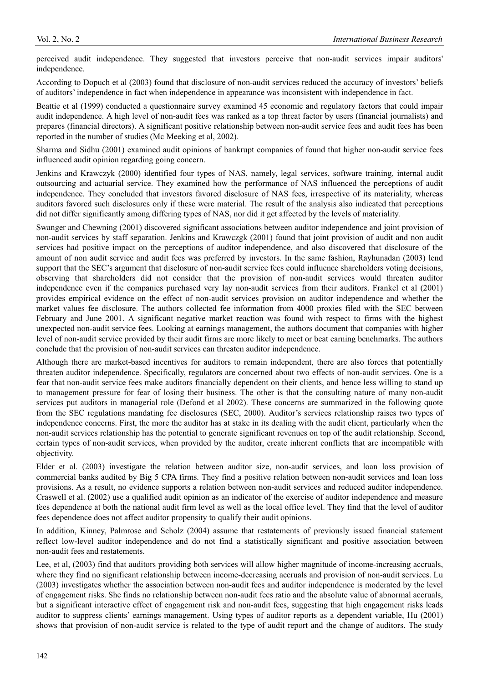perceived audit independence. They suggested that investors perceive that non-audit services impair auditors' independence.

According to Dopuch et al (2003) found that disclosure of non-audit services reduced the accuracy of investors' beliefs of auditors' independence in fact when independence in appearance was inconsistent with independence in fact.

Beattie et al (1999) conducted a questionnaire survey examined 45 economic and regulatory factors that could impair audit independence. A high level of non-audit fees was ranked as a top threat factor by users (financial journalists) and prepares (financial directors). A significant positive relationship between non-audit service fees and audit fees has been reported in the number of studies (Mc Meeking et al, 2002).

Sharma and Sidhu (2001) examined audit opinions of bankrupt companies of found that higher non-audit service fees influenced audit opinion regarding going concern.

Jenkins and Krawczyk (2000) identified four types of NAS, namely, legal services, software training, internal audit outsourcing and actuarial service. They examined how the performance of NAS influenced the perceptions of audit independence. They concluded that investors favored disclosure of NAS fees, irrespective of its materiality, whereas auditors favored such disclosures only if these were material. The result of the analysis also indicated that perceptions did not differ significantly among differing types of NAS, nor did it get affected by the levels of materiality.

Swanger and Chewning (2001) discovered significant associations between auditor independence and joint provision of non-audit services by staff separation. Jenkins and Krawczgk (2001) found that joint provision of audit and non audit services had positive impact on the perceptions of auditor independence, and also discovered that disclosure of the amount of non audit service and audit fees was preferred by investors. In the same fashion, Rayhunadan (2003) lend support that the SEC's argument that disclosure of non-audit service fees could influence shareholders voting decisions, observing that shareholders did not consider that the provision of non-audit services would threaten auditor independence even if the companies purchased very lay non-audit services from their auditors. Frankel et al (2001) provides empirical evidence on the effect of non-audit services provision on auditor independence and whether the market values fee disclosure. The authors collected fee information from 4000 proxies filed with the SEC between February and June 2001. A significant negative market reaction was found with respect to firms with the highest unexpected non-audit service fees. Looking at earnings management, the authors document that companies with higher level of non-audit service provided by their audit firms are more likely to meet or beat earning benchmarks. The authors conclude that the provision of non-audit services can threaten auditor independence.

Although there are market-based incentives for auditors to remain independent, there are also forces that potentially threaten auditor independence. Specifically, regulators are concerned about two effects of non-audit services. One is a fear that non-audit service fees make auditors financially dependent on their clients, and hence less willing to stand up to management pressure for fear of losing their business. The other is that the consulting nature of many non-audit services put auditors in managerial role (Defond et al 2002). These concerns are summarized in the following quote from the SEC regulations mandating fee disclosures (SEC, 2000). Auditor's services relationship raises two types of independence concerns. First, the more the auditor has at stake in its dealing with the audit client, particularly when the non-audit services relationship has the potential to generate significant revenues on top of the audit relationship. Second, certain types of non-audit services, when provided by the auditor, create inherent conflicts that are incompatible with objectivity.

Elder et al. (2003) investigate the relation between auditor size, non-audit services, and loan loss provision of commercial banks audited by Big 5 CPA firms. They find a positive relation between non-audit services and loan loss provisions. As a result, no evidence supports a relation between non-audit services and reduced auditor independence. Craswell et al. (2002) use a qualified audit opinion as an indicator of the exercise of auditor independence and measure fees dependence at both the national audit firm level as well as the local office level. They find that the level of auditor fees dependence does not affect auditor propensity to qualify their audit opinions.

In addition, Kinney, Palmrose and Scholz (2004) assume that restatements of previously issued financial statement reflect low-level auditor independence and do not find a statistically significant and positive association between non-audit fees and restatements.

Lee, et al, (2003) find that auditors providing both services will allow higher magnitude of income-increasing accruals, where they find no significant relationship between income-decreasing accruals and provision of non-audit services. Lu (2003) investigates whether the association between non-audit fees and auditor independence is moderated by the level of engagement risks. She finds no relationship between non-audit fees ratio and the absolute value of abnormal accruals, but a significant interactive effect of engagement risk and non-audit fees, suggesting that high engagement risks leads auditor to suppress clients' earnings management. Using types of auditor reports as a dependent variable, Hu (2001) shows that provision of non-audit service is related to the type of audit report and the change of auditors. The study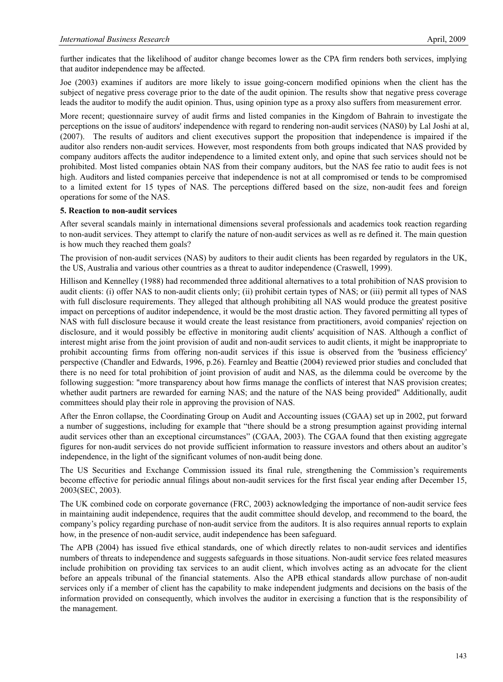further indicates that the likelihood of auditor change becomes lower as the CPA firm renders both services, implying that auditor independence may be affected.

Joe (2003) examines if auditors are more likely to issue going-concern modified opinions when the client has the subject of negative press coverage prior to the date of the audit opinion. The results show that negative press coverage leads the auditor to modify the audit opinion. Thus, using opinion type as a proxy also suffers from measurement error.

More recent; questionnaire survey of audit firms and listed companies in the Kingdom of Bahrain to investigate the perceptions on the issue of auditors' independence with regard to rendering non-audit services (NAS0) by Lal Joshi at al, (2007). The results of auditors and client executives support the proposition that independence is impaired if the auditor also renders non-audit services. However, most respondents from both groups indicated that NAS provided by company auditors affects the auditor independence to a limited extent only, and opine that such services should not be prohibited. Most listed companies obtain NAS from their company auditors, but the NAS fee ratio to audit fees is not high. Auditors and listed companies perceive that independence is not at all compromised or tends to be compromised to a limited extent for 15 types of NAS. The perceptions differed based on the size, non-audit fees and foreign operations for some of the NAS.

#### **5. Reaction to non-audit services**

After several scandals mainly in international dimensions several professionals and academics took reaction regarding to non-audit services. They attempt to clarify the nature of non-audit services as well as re defined it. The main question is how much they reached them goals?

The provision of non-audit services (NAS) by auditors to their audit clients has been regarded by regulators in the UK, the US, Australia and various other countries as a threat to auditor independence (Craswell, 1999).

Hillison and Kennelley (1988) had recommended three additional alternatives to a total prohibition of NAS provision to audit clients: (i) offer NAS to non-audit clients only; (ii) prohibit certain types of NAS; or (iii) permit all types of NAS with full disclosure requirements. They alleged that although prohibiting all NAS would produce the greatest positive impact on perceptions of auditor independence, it would be the most drastic action. They favored permitting all types of NAS with full disclosure because it would create the least resistance from practitioners, avoid companies' rejection on disclosure, and it would possibly be effective in monitoring audit clients' acquisition of NAS. Although a conflict of interest might arise from the joint provision of audit and non-audit services to audit clients, it might be inappropriate to prohibit accounting firms from offering non-audit services if this issue is observed from the 'business efficiency' perspective (Chandler and Edwards, 1996, p.26). Fearnley and Beattie (2004) reviewed prior studies and concluded that there is no need for total prohibition of joint provision of audit and NAS, as the dilemma could be overcome by the following suggestion: "more transparency about how firms manage the conflicts of interest that NAS provision creates; whether audit partners are rewarded for earning NAS; and the nature of the NAS being provided" Additionally, audit committees should play their role in approving the provision of NAS.

After the Enron collapse, the Coordinating Group on Audit and Accounting issues (CGAA) set up in 2002, put forward a number of suggestions, including for example that "there should be a strong presumption against providing internal audit services other than an exceptional circumstances" (CGAA, 2003). The CGAA found that then existing aggregate figures for non-audit services do not provide sufficient information to reassure investors and others about an auditor's independence, in the light of the significant volumes of non-audit being done.

The US Securities and Exchange Commission issued its final rule, strengthening the Commission's requirements become effective for periodic annual filings about non-audit services for the first fiscal year ending after December 15, 2003(SEC, 2003).

The UK combined code on corporate governance (FRC, 2003) acknowledging the importance of non-audit service fees in maintaining audit independence, requires that the audit committee should develop, and recommend to the board, the company's policy regarding purchase of non-audit service from the auditors. It is also requires annual reports to explain how, in the presence of non-audit service, audit independence has been safeguard.

The APB (2004) has issued five ethical standards, one of which directly relates to non-audit services and identifies numbers of threats to independence and suggests safeguards in those situations. Non-audit service fees related measures include prohibition on providing tax services to an audit client, which involves acting as an advocate for the client before an appeals tribunal of the financial statements. Also the APB ethical standards allow purchase of non-audit services only if a member of client has the capability to make independent judgments and decisions on the basis of the information provided on consequently, which involves the auditor in exercising a function that is the responsibility of the management.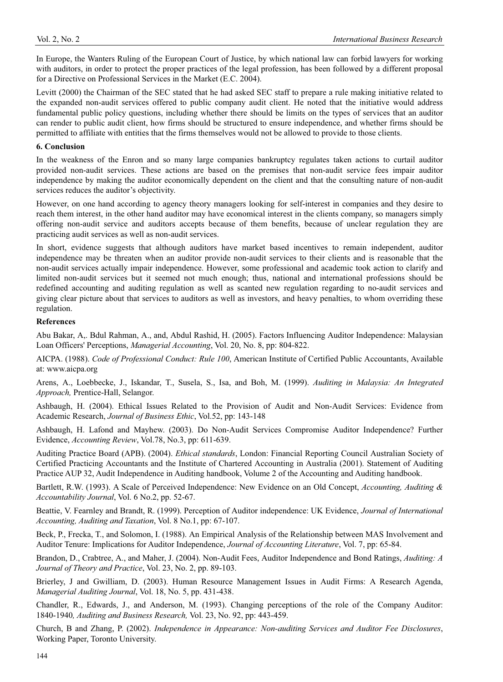In Europe, the Wanters Ruling of the European Court of Justice, by which national law can forbid lawyers for working with auditors, in order to protect the proper practices of the legal profession, has been followed by a different proposal for a Directive on Professional Services in the Market (E.C. 2004).

Levitt (2000) the Chairman of the SEC stated that he had asked SEC staff to prepare a rule making initiative related to the expanded non-audit services offered to public company audit client. He noted that the initiative would address fundamental public policy questions, including whether there should be limits on the types of services that an auditor can render to public audit client, how firms should be structured to ensure independence, and whether firms should be permitted to affiliate with entities that the firms themselves would not be allowed to provide to those clients.

#### **6. Conclusion**

In the weakness of the Enron and so many large companies bankruptcy regulates taken actions to curtail auditor provided non-audit services. These actions are based on the premises that non-audit service fees impair auditor independence by making the auditor economically dependent on the client and that the consulting nature of non-audit services reduces the auditor's objectivity.

However, on one hand according to agency theory managers looking for self-interest in companies and they desire to reach them interest, in the other hand auditor may have economical interest in the clients company, so managers simply offering non-audit service and auditors accepts because of them benefits, because of unclear regulation they are practicing audit services as well as non-audit services.

In short, evidence suggests that although auditors have market based incentives to remain independent, auditor independence may be threaten when an auditor provide non-audit services to their clients and is reasonable that the non-audit services actually impair independence. However, some professional and academic took action to clarify and limited non-audit services but it seemed not much enough; thus, national and international professions should be redefined accounting and auditing regulation as well as scanted new regulation regarding to no-audit services and giving clear picture about that services to auditors as well as investors, and heavy penalties, to whom overriding these regulation.

## **References**

Abu Bakar, A,. Bdul Rahman, A., and, Abdul Rashid, H. (2005). Factors Influencing Auditor Independence: Malaysian Loan Officers' Perceptions, *Managerial Accounting*, Vol. 20, No. 8, pp: 804-822.

AICPA. (1988). *Code of Professional Conduct: Rule 100*, American Institute of Certified Public Accountants, Available at: www.aicpa.org

Arens, A., Loebbecke, J., Iskandar, T., Susela, S., Isa, and Boh, M. (1999). *Auditing in Malaysia: An Integrated Approach,* Prentice-Hall, Selangor.

Ashbaugh, H. (2004). Ethical Issues Related to the Provision of Audit and Non-Audit Services: Evidence from Academic Research, *Journal of Business Ethic*, Vol.52, pp: 143-148

Ashbaugh, H. Lafond and Mayhew. (2003). Do Non-Audit Services Compromise Auditor Independence? Further Evidence, *Accounting Review*, Vol.78, No.3, pp: 611-639.

Auditing Practice Board (APB). (2004). *Ethical standards*, London: Financial Reporting Council Australian Society of Certified Practicing Accountants and the Institute of Chartered Accounting in Australia (2001). Statement of Auditing Practice AUP 32, Audit Independence in Auditing handbook, Volume 2 of the Accounting and Auditing handbook.

Bartlett, R.W. (1993). A Scale of Perceived Independence: New Evidence on an Old Concept, *Accounting, Auditing & Accountability Journal*, Vol. 6 No.2, pp. 52-67.

Beattie, V. Fearnley and Brandt, R. (1999). Perception of Auditor independence: UK Evidence, *Journal of International Accounting, Auditing and Taxation*, Vol. 8 No.1, pp: 67-107.

Beck, P., Frecka, T., and Solomon, I. (1988). An Empirical Analysis of the Relationship between MAS Involvement and Auditor Tenure: Implications for Auditor Independence, *Journal of Accounting Literature*, Vol. 7, pp: 65-84.

Brandon, D., Crabtree, A., and Maher, J. (2004). Non-Audit Fees, Auditor Independence and Bond Ratings, *Auditing: A Journal of Theory and Practice*, Vol. 23, No. 2, pp. 89-103.

Brierley, J and Gwilliam, D. (2003). Human Resource Management Issues in Audit Firms: A Research Agenda, *Managerial Auditing Journal*, Vol. 18, No. 5, pp. 431-438.

Chandler, R., Edwards, J., and Anderson, M. (1993). Changing perceptions of the role of the Company Auditor: 1840-1940*, Auditing and Business Research,* Vol. 23, No. 92, pp: 443-459.

Church, B and Zhang, P. (2002). *Independence in Appearance: Non-auditing Services and Auditor Fee Disclosures*, Working Paper, Toronto University.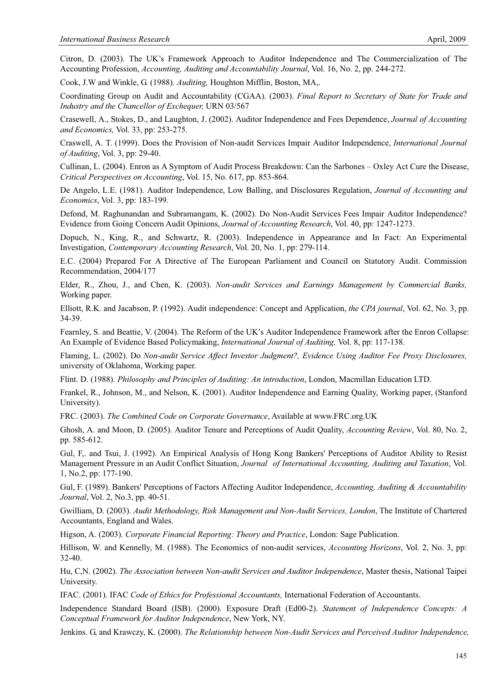Citron, D. (2003). The UK's Framework Approach to Auditor Independence and The Commercialization of The Accounting Profession, *Accounting, Auditing and Accountability Journal*, Vol. 16, No. 2, pp. 244-272.

Cook, J.W and Winkle, G. (1988). *Auditing,* Houghton Mifflin, Boston, MA,.

Coordinating Group on Audit and Accountability (CGAA). (2003). *Final Report to Secretary of State for Trade and Industry and the Chancellor of Exchequer,* URN 03/567

Crasewell, A., Stokes, D., and Laughton, J. (2002). Auditor Independence and Fees Dependence, *Journal of Accounting and Economics,* Vol. 33, pp: 253-275.

Craswell, A. T. (1999). Does the Provision of Non-audit Services Impair Auditor Independence, *International Journal of Auditing*, Vol. 3, pp: 29-40.

Cullinan, L. (2004). Enron as A Symptom of Audit Process Breakdown: Can the Sarbones – Oxley Act Cure the Disease, *Critical Perspectives on Accounting*, Vol. 15, No. 617, pp. 853-864.

De Angelo, L.E. (1981). Auditor Independence, Low Balling, and Disclosures Regulation, *Journal of Accounting and Economics*, Vol. 3, pp: 183-199.

Defond, M. Raghunandan and Subramangam, K. (2002). Do Non-Audit Services Fees Impair Auditor Independence? Evidence from Going Concern Audit Opinions, *Journal of Accounting Research*, Vol. 40, pp: 1247-1273.

Dopuch, N., King, R., and Schwartz, R. (2003). Independence in Appearance and In Fact: An Experimental Investigation, *Contemporary Accounting Research*, Vol. 20, No. 1, pp: 279-114.

E.C. (2004) Prepared For A Directive of The European Parliament and Council on Statutory Audit. Commission Recommendation, 2004/177

Elder, R., Zhou, J., and Chen, K. (2003). *Non-audit Services and Earnings Management by Commercial Banks,* Working paper.

Elliott, R.K. and Jacabson, P. (1992). Audit independence: Concept and Application, *the CPA journal*, Vol. 62, No. 3, pp. 34-39.

Fearnley, S. and Beattie, V. (2004). The Reform of the UK's Auditor Independence Framework after the Enron Collapse: An Example of Evidence Based Policymaking, *International Journal of Auditing,* Vol. 8, pp: 117-138.

Flaming, L. (2002). Do *Non-audit Service Affect Investor Judgment?, Evidence Using Auditor Fee Proxy Disclosures,* university of Oklahoma, Working paper.

Flint. D. (1988). *Philosophy and Principles of Auditing: An introduction*, London, Macmillan Education LTD.

Frankel, R., Johnson, M., and Nelson, K. (2001). Auditor Independence and Earning Quality, Working paper, (Stanford University).

FRC. (2003). *The Combined Code on Corporate Governance*, Available at www.FRC.org.UK

Ghosh, A. and Moon, D. (2005). Auditor Tenure and Perceptions of Audit Quality, *Accounting Review*, Vol. 80, No. 2, pp. 585-612.

Gul, F,. and Tsui, J. (1992). An Empirical Analysis of Hong Kong Bankers' Perceptions of Auditor Ability to Resist Management Pressure in an Audit Conflict Situation, *Journal of International Accounting, Auditing and Taxation*, Vol. 1, No.2, pp: 177-190.

Gul, F. (1989). Bankers' Perceptions of Factors Affecting Auditor Independence, *Accounting, Auditing & Accountability Journal*, Vol. 2, No.3, pp. 40-51.

Gwilliam, D. (2003). *Audit Methodology, Risk Management and Non-Audit Services, London*, The Institute of Chartered Accountants, England and Wales.

Higson, A. (2003)*. Corporate Financial Reporting: Theory and Practice*, London: Sage Publication.

Hillison, W. and Kennelly, M. (1988). The Economics of non-audit services, *Accounting Horizons*, Vol. 2, No. 3, pp: 32-40.

Hu, C,N. (2002). *The Association between Non-audit Services and Auditor Independence*, Master thesis, National Taipei University.

IFAC. (2001). IFAC *Code of Ethics for Professional Accountants,* International Federation of Accountants.

Independence Standard Board (ISB). (2000). Exposure Draft (Ed00-2). *Statement of Independence Concepts: A Conceptual Framework for Auditor Independence*, New York, NY.

Jenkins. G, and Krawczy, K. (2000). *The Relationship between Non-Audit Services and Perceived Auditor Independence,*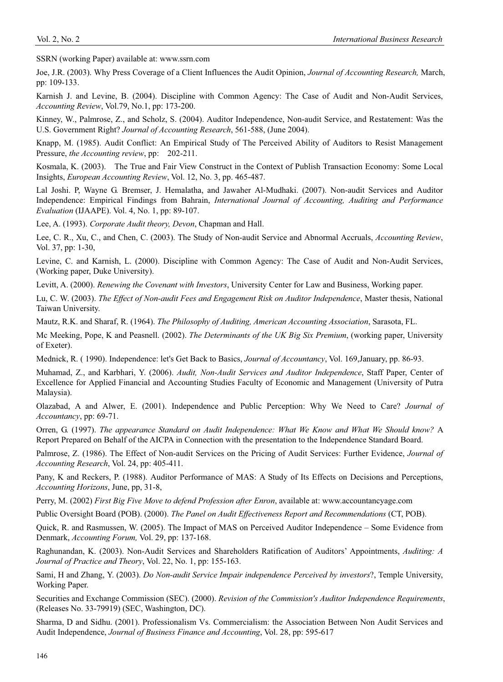SSRN (working Paper) available at: www.ssrn.com

Joe, J.R. (2003). Why Press Coverage of a Client Influences the Audit Opinion, *Journal of Accounting Research,* March, pp: 109-133.

Karnish J. and Levine, B. (2004). Discipline with Common Agency: The Case of Audit and Non-Audit Services, *Accounting Review*, Vol.79, No.1, pp: 173-200.

Kinney, W., Palmrose, Z., and Scholz, S. (2004). Auditor Independence, Non-audit Service, and Restatement: Was the U.S. Government Right? *Journal of Accounting Research*, 561-588, (June 2004).

Knapp, M. (1985). Audit Conflict: An Empirical Study of The Perceived Ability of Auditors to Resist Management Pressure, *the Accounting review*, pp: 202-211.

Kosmala, K. (2003). The True and Fair View Construct in the Context of Publish Transaction Economy: Some Local Insights, *European Accounting Review*, Vol. 12, No. 3, pp. 465-487.

Lal Joshi. P, Wayne G. Bremser, J. Hemalatha, and Jawaher Al-Mudhaki. (2007). Non-audit Services and Auditor Independence: Empirical Findings from Bahrain, *International Journal of Accounting, Auditing and Performance Evaluation* (IJAAPE). Vol. 4, No. 1, pp: 89-107.

Lee, A. (1993). *Corporate Audit theory, Devon*, Chapman and Hall.

Lee, C. R., Xu, C., and Chen, C. (2003). The Study of Non-audit Service and Abnormal Accruals, *Accounting Review*, Vol. 37, pp: 1-30,

Levine, C. and Karnish, L. (2000). Discipline with Common Agency: The Case of Audit and Non-Audit Services, (Working paper, Duke University).

Levitt, A. (2000). *Renewing the Covenant with Investors*, University Center for Law and Business, Working paper.

Lu, C. W. (2003). *The Effect of Non-audit Fees and Engagement Risk on Auditor Independence*, Master thesis, National Taiwan University.

Mautz, R.K. and Sharaf, R. (1964). *The Philosophy of Auditing, American Accounting Association*, Sarasota, FL.

Mc Meeking, Pope, K and Peasnell. (2002). *The Determinants of the UK Big Six Premium*, (working paper, University of Exeter).

Mednick, R. ( 1990). Independence: let's Get Back to Basics, *Journal of Accountancy*, Vol. 169,January, pp. 86-93.

Muhamad, Z., and Karbhari, Y. (2006). *Audit, Non-Audit Services and Auditor Independence*, Staff Paper, Center of Excellence for Applied Financial and Accounting Studies Faculty of Economic and Management (University of Putra Malaysia).

Olazabad, A and Alwer, E. (2001). Independence and Public Perception: Why We Need to Care? *Journal of Accountancy*, pp: 69-71.

Orren, G. (1997). *The appearance Standard on Audit Independence: What We Know and What We Should know?* A Report Prepared on Behalf of the AICPA in Connection with the presentation to the Independence Standard Board.

Palmrose, Z. (1986). The Effect of Non-audit Services on the Pricing of Audit Services: Further Evidence, *Journal of Accounting Research*, Vol. 24, pp: 405-411.

Pany, K and Reckers, P. (1988). Auditor Performance of MAS: A Study of Its Effects on Decisions and Perceptions, *Accounting Horizons*, June, pp, 31-8,

Perry, M. (2002) *First Big Five Move to defend Profession after Enron*, available at: www.accountancyage.com

Public Oversight Board (POB). (2000). *The Panel on Audit Effectiveness Report and Recommendations* (CT, POB).

Quick, R. and Rasmussen, W. (2005). The Impact of MAS on Perceived Auditor Independence – Some Evidence from Denmark, *Accounting Forum,* Vol. 29, pp: 137-168.

Raghunandan, K. (2003). Non-Audit Services and Shareholders Ratification of Auditors' Appointments, *Auditing: A Journal of Practice and Theory*, Vol. 22, No. 1, pp: 155-163.

Sami, H and Zhang, Y. (2003). *Do Non-audit Service Impair independence Perceived by investors*?, Temple University, Working Paper.

Securities and Exchange Commission (SEC). (2000). *Revision of the Commission's Auditor Independence Requirements*, (Releases No. 33-79919) (SEC, Washington, DC).

Sharma, D and Sidhu. (2001). Professionalism Vs. Commercialism: the Association Between Non Audit Services and Audit Independence, *Journal of Business Finance and Accounting*, Vol. 28, pp: 595-617